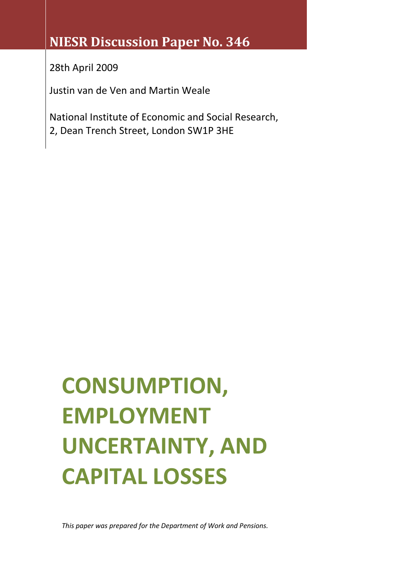# **NIESR Discussion Paper No. 346**

28th April 2009

Justin van de Ven and Martin Weale

National Institute of Economic and Social Research, 2, Dean Trench Street, London SW1P 3HE

# **CONSUMPTION, EMPLOYMENT UNCERTAINTY, AND CAPITAL LOSSES**

*This paper was prepared for the Department of Work and Pensions.*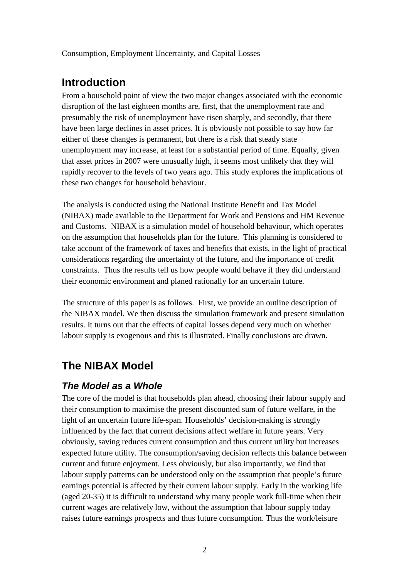Consumption, Employment Uncertainty, and Capital Losses

## **Introduction**

From a household point of view the two major changes associated with the economic disruption of the last eighteen months are, first, that the unemployment rate and presumably the risk of unemployment have risen sharply, and secondly, that there have been large declines in asset prices. It is obviously not possible to say how far either of these changes is permanent, but there is a risk that steady state unemployment may increase, at least for a substantial period of time. Equally, given that asset prices in 2007 were unusually high, it seems most unlikely that they will rapidly recover to the levels of two years ago. This study explores the implications of these two changes for household behaviour.

The analysis is conducted using the National Institute Benefit and Tax Model (NIBAX) made available to the Department for Work and Pensions and HM Revenue and Customs. NIBAX is a simulation model of household behaviour, which operates on the assumption that households plan for the future. This planning is considered to take account of the framework of taxes and benefits that exists, in the light of practical considerations regarding the uncertainty of the future, and the importance of credit constraints. Thus the results tell us how people would behave if they did understand their economic environment and planed rationally for an uncertain future.

The structure of this paper is as follows. First, we provide an outline description of the NIBAX model. We then discuss the simulation framework and present simulation results. It turns out that the effects of capital losses depend very much on whether labour supply is exogenous and this is illustrated. Finally conclusions are drawn.

# **The NIBAX Model**

## *The Model as a Whole*

The core of the model is that households plan ahead, choosing their labour supply and their consumption to maximise the present discounted sum of future welfare, in the light of an uncertain future life-span. Households' decision-making is strongly influenced by the fact that current decisions affect welfare in future years. Very obviously, saving reduces current consumption and thus current utility but increases expected future utility. The consumption/saving decision reflects this balance between current and future enjoyment. Less obviously, but also importantly, we find that labour supply patterns can be understood only on the assumption that people's future earnings potential is affected by their current labour supply. Early in the working life (aged 20-35) it is difficult to understand why many people work full-time when their current wages are relatively low, without the assumption that labour supply today raises future earnings prospects and thus future consumption. Thus the work/leisure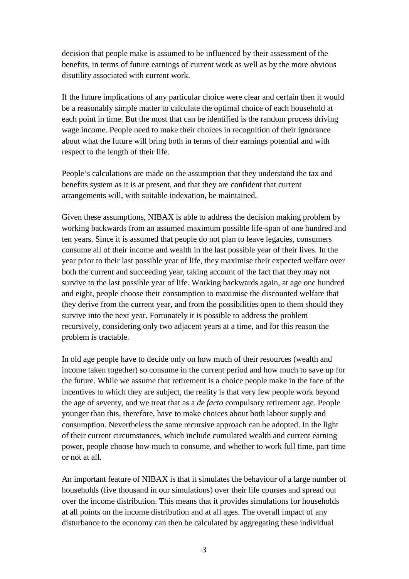decision that people make is assumed to be influenced by their assessment of the benefits, in terms of future earnings of current work as well as by the more obvious disutility associated with current work.

If the future implications of any particular choice were clear and certain then it would be a reasonably simple matter to calculate the optimal choice of each household at each point in time. But the most that can be identified is the random process driving wage income. People need to make their choices in recognition of their ignorance about what the future will bring both in terms of their earnings potential and with respect to the length of their life.

People's calculations are made on the assumption that they understand the tax and benefits system as it is at present, and that they are confident that current arrangements will, with suitable indexation, be maintained.

Given these assumptions, NIBAX is able to address the decision making problem by working backwards from an assumed maximum possible life-span of one hundred and ten years. Since it is assumed that people do not plan to leave legacies, consumers consume all of their income and wealth in the last possible year of their lives. In the year prior to their last possible year of life, they maximise their expected welfare over both the current and succeeding year, taking account of the fact that they may not survive to the last possible year of life. Working backwards again, at age one hundred and eight, people choose their consumption to maximise the discounted welfare that they derive from the current year, and from the possibilities open to them should they survive into the next year. Fortunately it is possible to address the problem recursively, considering only two adjacent years at a time, and for this reason the problem is tractable.

In old age people have to decide only on how much of their resources (wealth and income taken together) so consume in the current period and how much to save up for the future. While we assume that retirement is a choice people make in the face of the incentives to which they are subject, the reality is that very few people work beyond the age of seventy, and we treat that as a *de facto* compulsory retirement age. People younger than this, therefore, have to make choices about both labour supply and consumption. Nevertheless the same recursive approach can be adopted. In the light of their current circumstances, which include cumulated wealth and current earning power, people choose how much to consume, and whether to work full time, part time or not at all.

An important feature of NIBAX is that it simulates the behaviour of a large number of households (five thousand in our simulations) over their life courses and spread out over the income distribution. This means that it provides simulations for households at all points on the income distribution and at all ages. The overall impact of any disturbance to the economy can then be calculated by aggregating these individual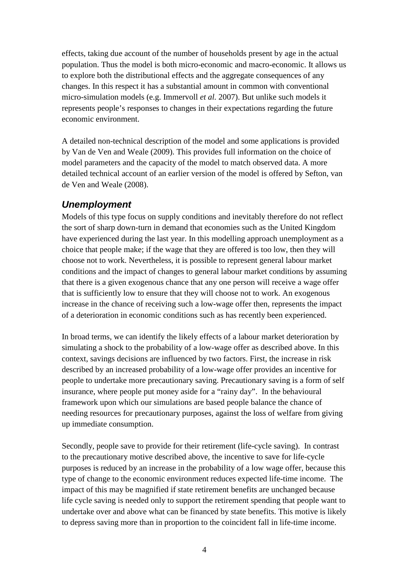effects, taking due account of the number of households present by age in the actual population. Thus the model is both micro-economic and macro-economic. It allows us to explore both the distributional effects and the aggregate consequences of any changes. In this respect it has a substantial amount in common with conventional micro-simulation models (e.g. Immervoll *et al.* 2007). But unlike such models it represents people's responses to changes in their expectations regarding the future economic environment.

A detailed non-technical description of the model and some applications is provided by Van de Ven and Weale (2009). This provides full information on the choice of model parameters and the capacity of the model to match observed data. A more detailed technical account of an earlier version of the model is offered by Sefton, van de Ven and Weale (2008).

## *Unemployment*

Models of this type focus on supply conditions and inevitably therefore do not reflect the sort of sharp down-turn in demand that economies such as the United Kingdom have experienced during the last year. In this modelling approach unemployment as a choice that people make; if the wage that they are offered is too low, then they will choose not to work. Nevertheless, it is possible to represent general labour market conditions and the impact of changes to general labour market conditions by assuming that there is a given exogenous chance that any one person will receive a wage offer that is sufficiently low to ensure that they will choose not to work. An exogenous increase in the chance of receiving such a low-wage offer then, represents the impact of a deterioration in economic conditions such as has recently been experienced.

In broad terms, we can identify the likely effects of a labour market deterioration by simulating a shock to the probability of a low-wage offer as described above. In this context, savings decisions are influenced by two factors. First, the increase in risk described by an increased probability of a low-wage offer provides an incentive for people to undertake more precautionary saving. Precautionary saving is a form of self insurance, where people put money aside for a "rainy day". In the behavioural framework upon which our simulations are based people balance the chance of needing resources for precautionary purposes, against the loss of welfare from giving up immediate consumption.

Secondly, people save to provide for their retirement (life-cycle saving). In contrast to the precautionary motive described above, the incentive to save for life-cycle purposes is reduced by an increase in the probability of a low wage offer, because this type of change to the economic environment reduces expected life-time income. The impact of this may be magnified if state retirement benefits are unchanged because life cycle saving is needed only to support the retirement spending that people want to undertake over and above what can be financed by state benefits. This motive is likely to depress saving more than in proportion to the coincident fall in life-time income.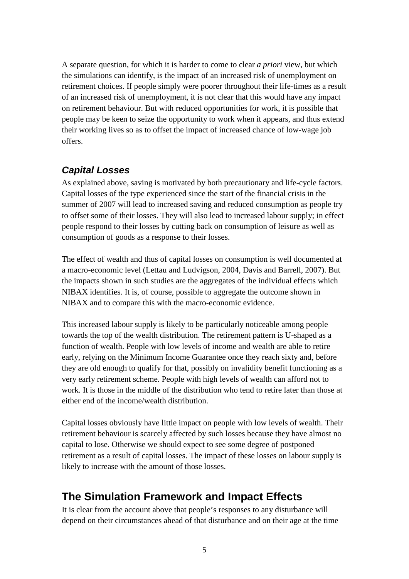A separate question, for which it is harder to come to clear *a priori* view, but which the simulations can identify, is the impact of an increased risk of unemployment on retirement choices. If people simply were poorer throughout their life-times as a result of an increased risk of unemployment, it is not clear that this would have any impact on retirement behaviour. But with reduced opportunities for work, it is possible that people may be keen to seize the opportunity to work when it appears, and thus extend their working lives so as to offset the impact of increased chance of low-wage job offers.

### *Capital Losses*

As explained above, saving is motivated by both precautionary and life-cycle factors. Capital losses of the type experienced since the start of the financial crisis in the summer of 2007 will lead to increased saving and reduced consumption as people try to offset some of their losses. They will also lead to increased labour supply; in effect people respond to their losses by cutting back on consumption of leisure as well as consumption of goods as a response to their losses.

The effect of wealth and thus of capital losses on consumption is well documented at a macro-economic level (Lettau and Ludvigson, 2004, Davis and Barrell, 2007). But the impacts shown in such studies are the aggregates of the individual effects which NIBAX identifies. It is, of course, possible to aggregate the outcome shown in NIBAX and to compare this with the macro-economic evidence.

This increased labour supply is likely to be particularly noticeable among people towards the top of the wealth distribution. The retirement pattern is U-shaped as a function of wealth. People with low levels of income and wealth are able to retire early, relying on the Minimum Income Guarantee once they reach sixty and, before they are old enough to qualify for that, possibly on invalidity benefit functioning as a very early retirement scheme. People with high levels of wealth can afford not to work. It is those in the middle of the distribution who tend to retire later than those at either end of the income/wealth distribution.

Capital losses obviously have little impact on people with low levels of wealth. Their retirement behaviour is scarcely affected by such losses because they have almost no capital to lose. Otherwise we should expect to see some degree of postponed retirement as a result of capital losses. The impact of these losses on labour supply is likely to increase with the amount of those losses.

# **The Simulation Framework and Impact Effects**

It is clear from the account above that people's responses to any disturbance will depend on their circumstances ahead of that disturbance and on their age at the time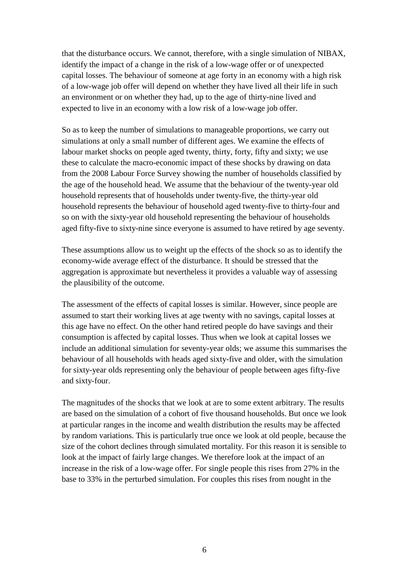that the disturbance occurs. We cannot, therefore, with a single simulation of NIBAX, identify the impact of a change in the risk of a low-wage offer or of unexpected capital losses. The behaviour of someone at age forty in an economy with a high risk of a low-wage job offer will depend on whether they have lived all their life in such an environment or on whether they had, up to the age of thirty-nine lived and expected to live in an economy with a low risk of a low-wage job offer.

So as to keep the number of simulations to manageable proportions, we carry out simulations at only a small number of different ages. We examine the effects of labour market shocks on people aged twenty, thirty, forty, fifty and sixty; we use these to calculate the macro-economic impact of these shocks by drawing on data from the 2008 Labour Force Survey showing the number of households classified by the age of the household head. We assume that the behaviour of the twenty-year old household represents that of households under twenty-five, the thirty-year old household represents the behaviour of household aged twenty-five to thirty-four and so on with the sixty-year old household representing the behaviour of households aged fifty-five to sixty-nine since everyone is assumed to have retired by age seventy.

These assumptions allow us to weight up the effects of the shock so as to identify the economy-wide average effect of the disturbance. It should be stressed that the aggregation is approximate but nevertheless it provides a valuable way of assessing the plausibility of the outcome.

The assessment of the effects of capital losses is similar. However, since people are assumed to start their working lives at age twenty with no savings, capital losses at this age have no effect. On the other hand retired people do have savings and their consumption is affected by capital losses. Thus when we look at capital losses we include an additional simulation for seventy-year olds; we assume this summarises the behaviour of all households with heads aged sixty-five and older, with the simulation for sixty-year olds representing only the behaviour of people between ages fifty-five and sixty-four.

The magnitudes of the shocks that we look at are to some extent arbitrary. The results are based on the simulation of a cohort of five thousand households. But once we look at particular ranges in the income and wealth distribution the results may be affected by random variations. This is particularly true once we look at old people, because the size of the cohort declines through simulated mortality. For this reason it is sensible to look at the impact of fairly large changes. We therefore look at the impact of an increase in the risk of a low-wage offer. For single people this rises from 27% in the base to 33% in the perturbed simulation. For couples this rises from nought in the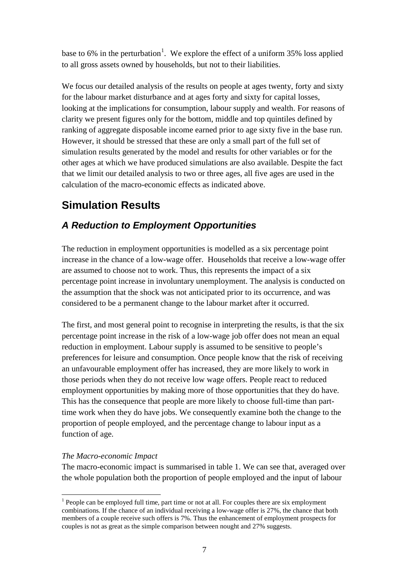base to 6% in the perturbation<sup>[1](#page-6-0)</sup>. We explore the effect of a uniform 35% loss applied to all gross assets owned by households, but not to their liabilities.

We focus our detailed analysis of the results on people at ages twenty, forty and sixty for the labour market disturbance and at ages forty and sixty for capital losses, looking at the implications for consumption, labour supply and wealth. For reasons of clarity we present figures only for the bottom, middle and top quintiles defined by ranking of aggregate disposable income earned prior to age sixty five in the base run. However, it should be stressed that these are only a small part of the full set of simulation results generated by the model and results for other variables or for the other ages at which we have produced simulations are also available. Despite the fact that we limit our detailed analysis to two or three ages, all five ages are used in the calculation of the macro-economic effects as indicated above.

# **Simulation Results**

## *A Reduction to Employment Opportunities*

The reduction in employment opportunities is modelled as a six percentage point increase in the chance of a low-wage offer. Households that receive a low-wage offer are assumed to choose not to work. Thus, this represents the impact of a six percentage point increase in involuntary unemployment. The analysis is conducted on the assumption that the shock was not anticipated prior to its occurrence, and was considered to be a permanent change to the labour market after it occurred.

The first, and most general point to recognise in interpreting the results, is that the six percentage point increase in the risk of a low-wage job offer does not mean an equal reduction in employment. Labour supply is assumed to be sensitive to people's preferences for leisure and consumption. Once people know that the risk of receiving an unfavourable employment offer has increased, they are more likely to work in those periods when they do not receive low wage offers. People react to reduced employment opportunities by making more of those opportunities that they do have. This has the consequence that people are more likely to choose full-time than parttime work when they do have jobs. We consequently examine both the change to the proportion of people employed, and the percentage change to labour input as a function of age.

#### *The Macro-economic Impact*

The macro-economic impact is summarised in table 1. We can see that, averaged over the whole population both the proportion of people employed and the input of labour

<span id="page-6-0"></span> $<sup>1</sup>$  People can be employed full time, part time or not at all. For couples there are six employment</sup> combinations. If the chance of an individual receiving a low-wage offer is 27%, the chance that both members of a couple receive such offers is 7%. Thus the enhancement of employment prospects for couples is not as great as the simple comparison between nought and 27% suggests.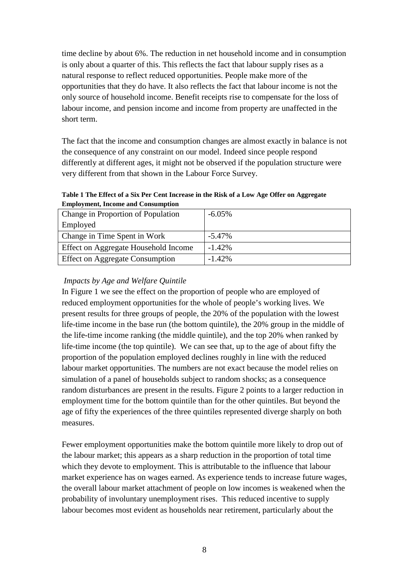time decline by about 6%. The reduction in net household income and in consumption is only about a quarter of this. This reflects the fact that labour supply rises as a natural response to reflect reduced opportunities. People make more of the opportunities that they do have. It also reflects the fact that labour income is not the only source of household income. Benefit receipts rise to compensate for the loss of labour income, and pension income and income from property are unaffected in the short term.

The fact that the income and consumption changes are almost exactly in balance is not the consequence of any constraint on our model. Indeed since people respond differently at different ages, it might not be observed if the population structure were very different from that shown in the Labour Force Survey.

| Table 1 The Effect of a Six Per Cent Increase in the Risk of a Low Age Offer on Aggregate |
|-------------------------------------------------------------------------------------------|
| <b>Employment, Income and Consumption</b>                                                 |

| <b>Change in Proportion of Population</b>   | $-6.05\%$ |
|---------------------------------------------|-----------|
| Employed                                    |           |
| Change in Time Spent in Work                | $-5.47\%$ |
| <b>Effect on Aggregate Household Income</b> | $-1.42\%$ |
| <b>Effect on Aggregate Consumption</b>      | $-1.42\%$ |

#### *Impacts by Age and Welfare Quintile*

In Figure 1 we see the effect on the proportion of people who are employed of reduced employment opportunities for the whole of people's working lives. We present results for three groups of people, the 20% of the population with the lowest life-time income in the base run (the bottom quintile), the 20% group in the middle of the life-time income ranking (the middle quintile), and the top 20% when ranked by life-time income (the top quintile). We can see that, up to the age of about fifty the proportion of the population employed declines roughly in line with the reduced labour market opportunities. The numbers are not exact because the model relies on simulation of a panel of households subject to random shocks; as a consequence random disturbances are present in the results. Figure 2 points to a larger reduction in employment time for the bottom quintile than for the other quintiles. But beyond the age of fifty the experiences of the three quintiles represented diverge sharply on both measures.

Fewer employment opportunities make the bottom quintile more likely to drop out of the labour market; this appears as a sharp reduction in the proportion of total time which they devote to employment. This is attributable to the influence that labour market experience has on wages earned. As experience tends to increase future wages, the overall labour market attachment of people on low incomes is weakened when the probability of involuntary unemployment rises. This reduced incentive to supply labour becomes most evident as households near retirement, particularly about the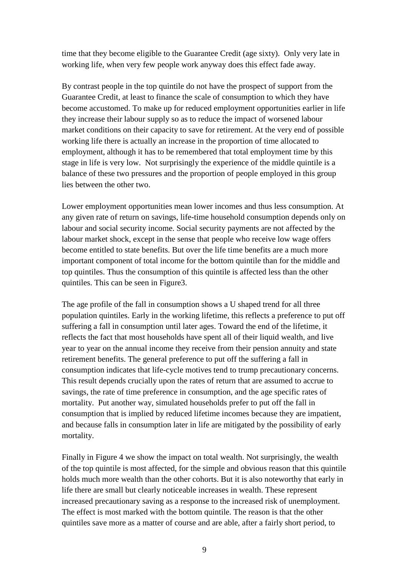time that they become eligible to the Guarantee Credit (age sixty). Only very late in working life, when very few people work anyway does this effect fade away.

By contrast people in the top quintile do not have the prospect of support from the Guarantee Credit, at least to finance the scale of consumption to which they have become accustomed. To make up for reduced employment opportunities earlier in life they increase their labour supply so as to reduce the impact of worsened labour market conditions on their capacity to save for retirement. At the very end of possible working life there is actually an increase in the proportion of time allocated to employment, although it has to be remembered that total employment time by this stage in life is very low. Not surprisingly the experience of the middle quintile is a balance of these two pressures and the proportion of people employed in this group lies between the other two.

Lower employment opportunities mean lower incomes and thus less consumption. At any given rate of return on savings, life-time household consumption depends only on labour and social security income. Social security payments are not affected by the labour market shock, except in the sense that people who receive low wage offers become entitled to state benefits. But over the life time benefits are a much more important component of total income for the bottom quintile than for the middle and top quintiles. Thus the consumption of this quintile is affected less than the other quintiles. This can be seen in Figure3.

The age profile of the fall in consumption shows a U shaped trend for all three population quintiles. Early in the working lifetime, this reflects a preference to put off suffering a fall in consumption until later ages. Toward the end of the lifetime, it reflects the fact that most households have spent all of their liquid wealth, and live year to year on the annual income they receive from their pension annuity and state retirement benefits. The general preference to put off the suffering a fall in consumption indicates that life-cycle motives tend to trump precautionary concerns. This result depends crucially upon the rates of return that are assumed to accrue to savings, the rate of time preference in consumption, and the age specific rates of mortality. Put another way, simulated households prefer to put off the fall in consumption that is implied by reduced lifetime incomes because they are impatient, and because falls in consumption later in life are mitigated by the possibility of early mortality.

Finally in Figure 4 we show the impact on total wealth. Not surprisingly, the wealth of the top quintile is most affected, for the simple and obvious reason that this quintile holds much more wealth than the other cohorts. But it is also noteworthy that early in life there are small but clearly noticeable increases in wealth. These represent increased precautionary saving as a response to the increased risk of unemployment. The effect is most marked with the bottom quintile. The reason is that the other quintiles save more as a matter of course and are able, after a fairly short period, to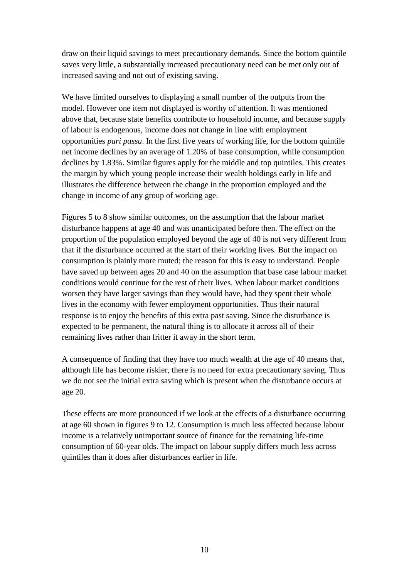draw on their liquid savings to meet precautionary demands. Since the bottom quintile saves very little, a substantially increased precautionary need can be met only out of increased saving and not out of existing saving.

We have limited ourselves to displaying a small number of the outputs from the model. However one item not displayed is worthy of attention. It was mentioned above that, because state benefits contribute to household income, and because supply of labour is endogenous, income does not change in line with employment opportunities *pari passu*. In the first five years of working life, for the bottom quintile net income declines by an average of 1.20% of base consumption, while consumption declines by 1.83%. Similar figures apply for the middle and top quintiles. This creates the margin by which young people increase their wealth holdings early in life and illustrates the difference between the change in the proportion employed and the change in income of any group of working age.

Figures 5 to 8 show similar outcomes, on the assumption that the labour market disturbance happens at age 40 and was unanticipated before then. The effect on the proportion of the population employed beyond the age of 40 is not very different from that if the disturbance occurred at the start of their working lives. But the impact on consumption is plainly more muted; the reason for this is easy to understand. People have saved up between ages 20 and 40 on the assumption that base case labour market conditions would continue for the rest of their lives. When labour market conditions worsen they have larger savings than they would have, had they spent their whole lives in the economy with fewer employment opportunities. Thus their natural response is to enjoy the benefits of this extra past saving. Since the disturbance is expected to be permanent, the natural thing is to allocate it across all of their remaining lives rather than fritter it away in the short term.

A consequence of finding that they have too much wealth at the age of 40 means that, although life has become riskier, there is no need for extra precautionary saving. Thus we do not see the initial extra saving which is present when the disturbance occurs at age 20.

These effects are more pronounced if we look at the effects of a disturbance occurring at age 60 shown in figures 9 to 12. Consumption is much less affected because labour income is a relatively unimportant source of finance for the remaining life-time consumption of 60-year olds. The impact on labour supply differs much less across quintiles than it does after disturbances earlier in life.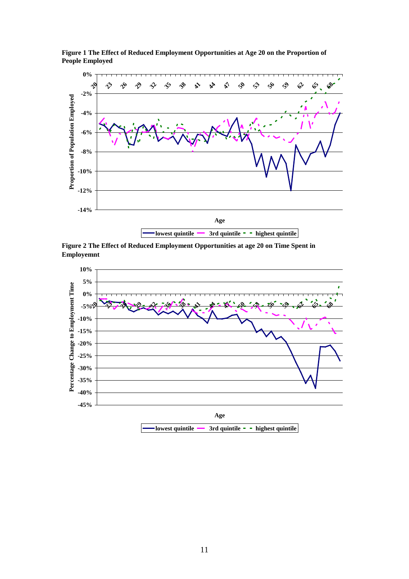

**Figure 1 The Effect of Reduced Employment Opportunities at Age 20 on the Proportion of People Employed**

**Figure 2 The Effect of Reduced Employment Opportunities at age 20 on Time Spent in Employemnt**

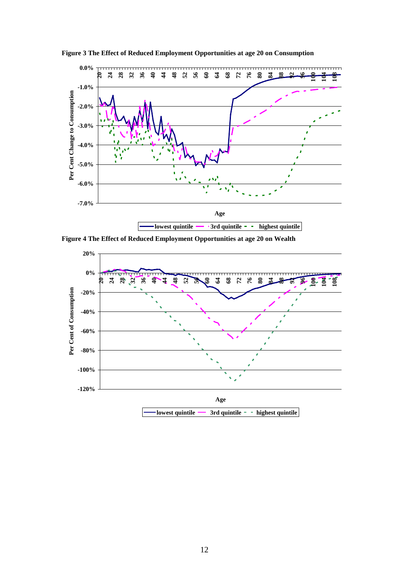

**Figure 3 The Effect of Reduced Employment Opportunities at age 20 on Consumption**

**Figure 4 The Effect of Reduced Employment Opportunities at age 20 on Wealth**

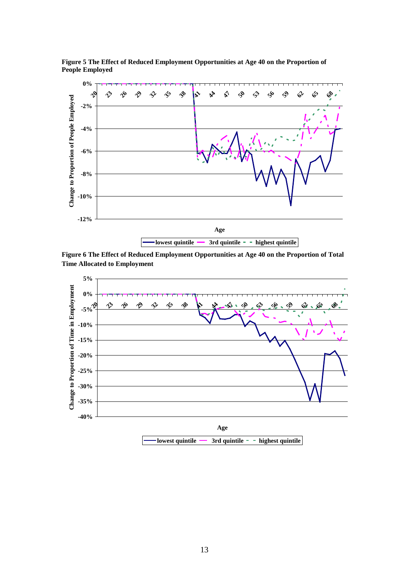

**Figure 5 The Effect of Reduced Employment Opportunities at Age 40 on the Proportion of People Employed**

**Figure 6 The Effect of Reduced Employment Opportunities at Age 40 on the Proportion of Total Time Allocated to Employment**

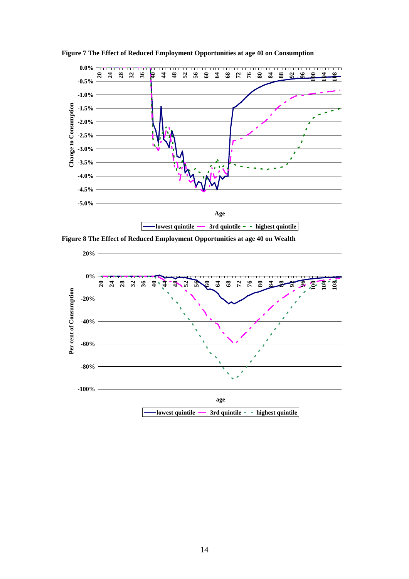

**Figure 7 The Effect of Reduced Employment Opportunities at age 40 on Consumption**

**Figure 8 The Effect of Reduced Employment Opportunities at age 40 on Wealth**

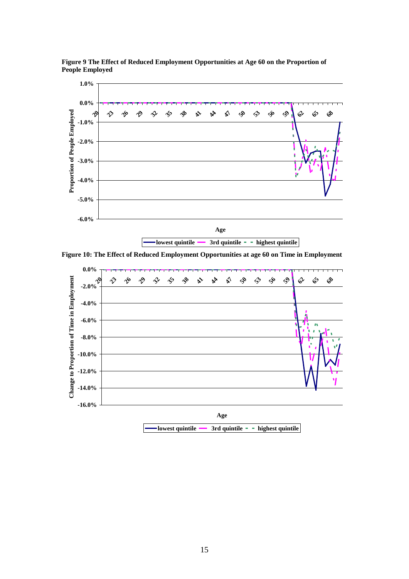

**Figure 9 The Effect of Reduced Employment Opportunities at Age 60 on the Proportion of People Employed**



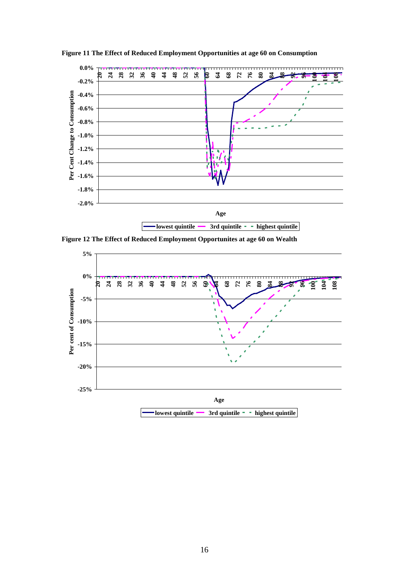

**Figure 11 The Effect of Reduced Employment Opportunities at age 60 on Consumption**

**Figure 12 The Effect of Reduced Employment Opportunites at age 60 on Wealth**

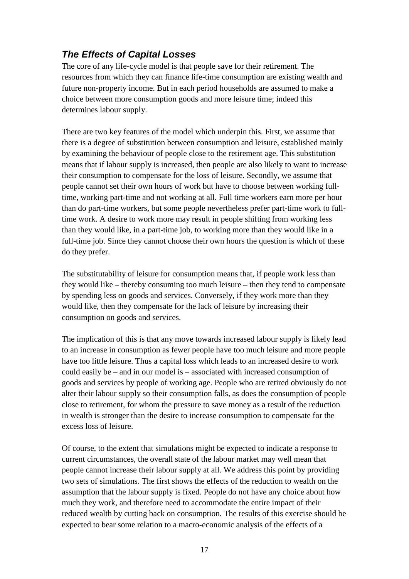## *The Effects of Capital Losses*

The core of any life-cycle model is that people save for their retirement. The resources from which they can finance life-time consumption are existing wealth and future non-property income. But in each period households are assumed to make a choice between more consumption goods and more leisure time; indeed this determines labour supply.

There are two key features of the model which underpin this. First, we assume that there is a degree of substitution between consumption and leisure, established mainly by examining the behaviour of people close to the retirement age. This substitution means that if labour supply is increased, then people are also likely to want to increase their consumption to compensate for the loss of leisure. Secondly, we assume that people cannot set their own hours of work but have to choose between working fulltime, working part-time and not working at all. Full time workers earn more per hour than do part-time workers, but some people nevertheless prefer part-time work to fulltime work. A desire to work more may result in people shifting from working less than they would like, in a part-time job, to working more than they would like in a full-time job. Since they cannot choose their own hours the question is which of these do they prefer.

The substitutability of leisure for consumption means that, if people work less than they would like – thereby consuming too much leisure – then they tend to compensate by spending less on goods and services. Conversely, if they work more than they would like, then they compensate for the lack of leisure by increasing their consumption on goods and services.

The implication of this is that any move towards increased labour supply is likely lead to an increase in consumption as fewer people have too much leisure and more people have too little leisure. Thus a capital loss which leads to an increased desire to work could easily be – and in our model is – associated with increased consumption of goods and services by people of working age. People who are retired obviously do not alter their labour supply so their consumption falls, as does the consumption of people close to retirement, for whom the pressure to save money as a result of the reduction in wealth is stronger than the desire to increase consumption to compensate for the excess loss of leisure.

Of course, to the extent that simulations might be expected to indicate a response to current circumstances, the overall state of the labour market may well mean that people cannot increase their labour supply at all. We address this point by providing two sets of simulations. The first shows the effects of the reduction to wealth on the assumption that the labour supply is fixed. People do not have any choice about how much they work, and therefore need to accommodate the entire impact of their reduced wealth by cutting back on consumption. The results of this exercise should be expected to bear some relation to a macro-economic analysis of the effects of a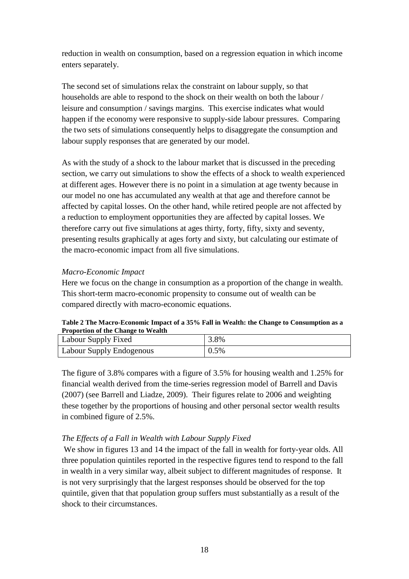reduction in wealth on consumption, based on a regression equation in which income enters separately.

The second set of simulations relax the constraint on labour supply, so that households are able to respond to the shock on their wealth on both the labour / leisure and consumption / savings margins. This exercise indicates what would happen if the economy were responsive to supply-side labour pressures. Comparing the two sets of simulations consequently helps to disaggregate the consumption and labour supply responses that are generated by our model.

As with the study of a shock to the labour market that is discussed in the preceding section, we carry out simulations to show the effects of a shock to wealth experienced at different ages. However there is no point in a simulation at age twenty because in our model no one has accumulated any wealth at that age and therefore cannot be affected by capital losses. On the other hand, while retired people are not affected by a reduction to employment opportunities they are affected by capital losses. We therefore carry out five simulations at ages thirty, forty, fifty, sixty and seventy, presenting results graphically at ages forty and sixty, but calculating our estimate of the macro-economic impact from all five simulations.

#### *Macro-Economic Impact*

Here we focus on the change in consumption as a proportion of the change in wealth. This short-term macro-economic propensity to consume out of wealth can be compared directly with macro-economic equations.

| <b>Proportion of the Change to Wealth</b> |      |
|-------------------------------------------|------|
| Labour Supply Fixed                       | 3.8% |
| Labour Supply Endogenous                  | 0.5% |

**Table 2 The Macro-Economic Impact of a 35% Fall in Wealth: the Change to Consumption as a** 

The figure of 3.8% compares with a figure of 3.5% for housing wealth and 1.25% for financial wealth derived from the time-series regression model of Barrell and Davis (2007) (see Barrell and Liadze, 2009). Their figures relate to 2006 and weighting these together by the proportions of housing and other personal sector wealth results in combined figure of 2.5%.

#### *The Effects of a Fall in Wealth with Labour Supply Fixed*

We show in figures 13 and 14 the impact of the fall in wealth for forty-year olds. All three population quintiles reported in the respective figures tend to respond to the fall in wealth in a very similar way, albeit subject to different magnitudes of response. It is not very surprisingly that the largest responses should be observed for the top quintile, given that that population group suffers must substantially as a result of the shock to their circumstances.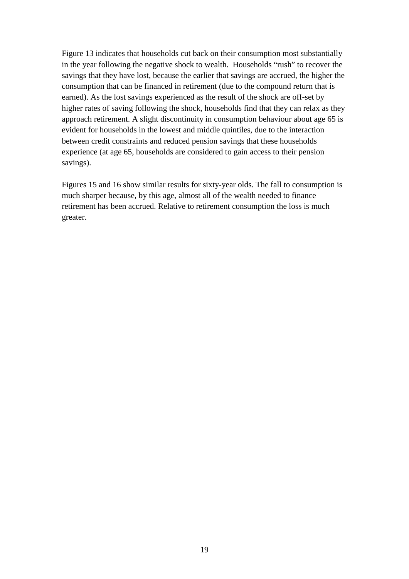Figure 13 indicates that households cut back on their consumption most substantially in the year following the negative shock to wealth. Households "rush" to recover the savings that they have lost, because the earlier that savings are accrued, the higher the consumption that can be financed in retirement (due to the compound return that is earned). As the lost savings experienced as the result of the shock are off-set by higher rates of saving following the shock, households find that they can relax as they approach retirement. A slight discontinuity in consumption behaviour about age 65 is evident for households in the lowest and middle quintiles, due to the interaction between credit constraints and reduced pension savings that these households experience (at age 65, households are considered to gain access to their pension savings).

Figures 15 and 16 show similar results for sixty-year olds. The fall to consumption is much sharper because, by this age, almost all of the wealth needed to finance retirement has been accrued. Relative to retirement consumption the loss is much greater.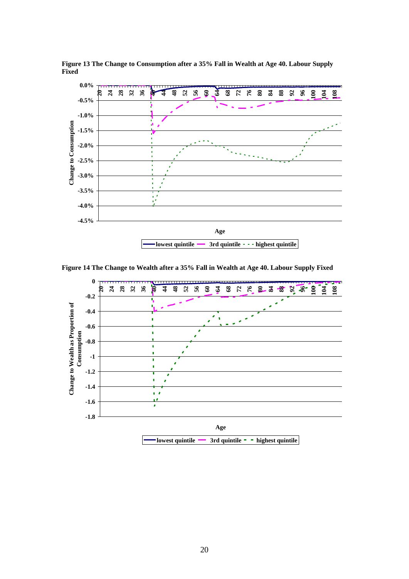

**Figure 13 The Change to Consumption after a 35% Fall in Wealth at Age 40. Labour Supply Fixed**

**Figure 14 The Change to Wealth after a 35% Fall in Wealth at Age 40. Labour Supply Fixed**

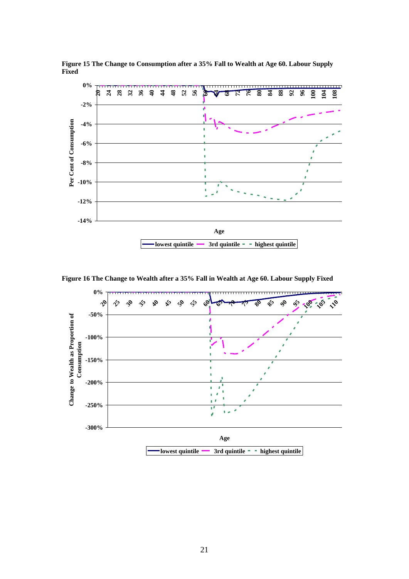

**Figure 15 The Change to Consumption after a 35% Fall to Wealth at Age 60. Labour Supply Fixed**

**Figure 16 The Change to Wealth after a 35% Fall in Wealth at Age 60. Labour Supply Fixed**

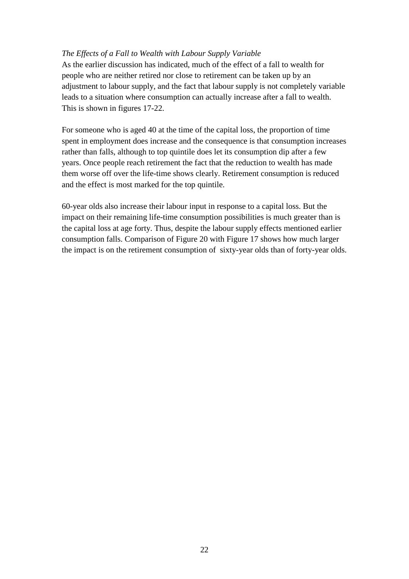#### *The Effects of a Fall to Wealth with Labour Supply Variable*

As the earlier discussion has indicated, much of the effect of a fall to wealth for people who are neither retired nor close to retirement can be taken up by an adjustment to labour supply, and the fact that labour supply is not completely variable leads to a situation where consumption can actually increase after a fall to wealth. This is shown in figures 17-22.

For someone who is aged 40 at the time of the capital loss, the proportion of time spent in employment does increase and the consequence is that consumption increases rather than falls, although to top quintile does let its consumption dip after a few years. Once people reach retirement the fact that the reduction to wealth has made them worse off over the life-time shows clearly. Retirement consumption is reduced and the effect is most marked for the top quintile.

60-year olds also increase their labour input in response to a capital loss. But the impact on their remaining life-time consumption possibilities is much greater than is the capital loss at age forty. Thus, despite the labour supply effects mentioned earlier consumption falls. Comparison of [Figure 20](#page-23-0) with [Figure 17](#page-22-0) shows how much larger the impact is on the retirement consumption of sixty-year olds than of forty-year olds.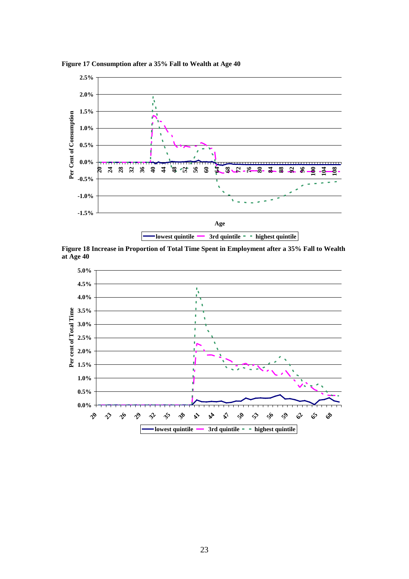

<span id="page-22-0"></span>**Figure 17 Consumption after a 35% Fall to Wealth at Age 40**



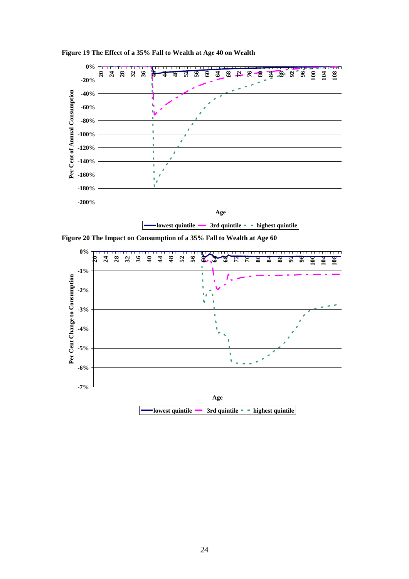

**Figure 19 The Effect of a 35% Fall to Wealth at Age 40 on Wealth**

<span id="page-23-0"></span>**Figure 20 The Impact on Consumption of a 35% Fall to Wealth at Age 60**

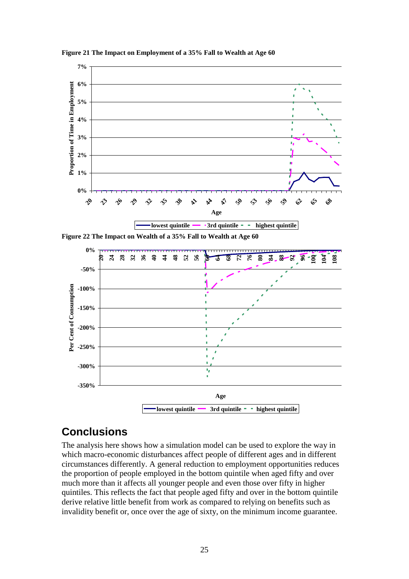

**Figure 21 The Impact on Employment of a 35% Fall to Wealth at Age 60**

**Figure 22 The Impact on Wealth of a 35% Fall to Wealth at Age 60**



## **Conclusions**

The analysis here shows how a simulation model can be used to explore the way in which macro-economic disturbances affect people of different ages and in different circumstances differently. A general reduction to employment opportunities reduces the proportion of people employed in the bottom quintile when aged fifty and over much more than it affects all younger people and even those over fifty in higher quintiles. This reflects the fact that people aged fifty and over in the bottom quintile derive relative little benefit from work as compared to relying on benefits such as invalidity benefit or, once over the age of sixty, on the minimum income guarantee.